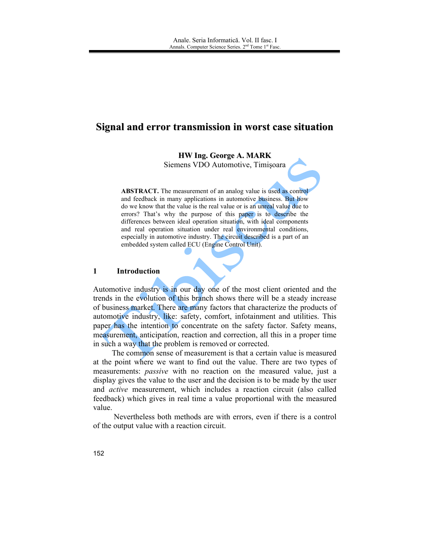# Signal and error transmission in worst case situation

**HW Ing. George A. MARK** 

Siemens VDO Automotive, Timișoara

**ABSTRACT.** The measurement of an analog value is used as control and feedback in many applications in automotive business. But how do we know that the value is the real value or is an unreal value due to errors? That's why the purpose of this paper is to describe the differences between ideal operation situation, with ideal components and real operation situation under real environmental conditions, especially in automotive industry. The circuit described is a part of an embedded system called ECU (Engine Control Unit).

#### $\mathbf{1}$ **Introduction**

Automotive industry is in our day one of the most client oriented and the trends in the evolution of this branch shows there will be a steady increase of business market. There are many factors that characterize the products of automotive industry, like: safety, comfort, infotainment and utilities. This paper has the intention to concentrate on the safety factor. Safety means, measurement, anticipation, reaction and correction, all this in a proper time in such a way that the problem is removed or corrected.

The common sense of measurement is that a certain value is measured at the point where we want to find out the value. There are two types of measurements: *passive* with no reaction on the measured value, just a display gives the value to the user and the decision is to be made by the user and active measurement, which includes a reaction circuit (also called feedback) which gives in real time a value proportional with the measured value.

Nevertheless both methods are with errors, even if there is a control of the output value with a reaction circuit.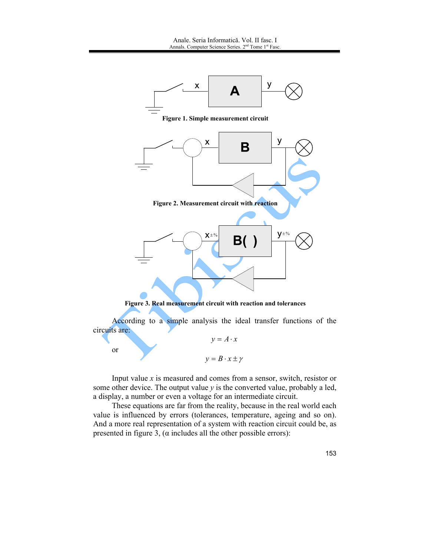

Input value  $x$  is measured and comes from a sensor, switch, resistor or some other device. The output value  $y$  is the converted value, probably a led, a display, a number or even a voltage for an intermediate circuit.

These equations are far from the reality, because in the real world each value is influenced by errors (tolerances, temperature, ageing and so on). And a more real representation of a system with reaction circuit could be, as presented in figure 3, ( $\alpha$  includes all the other possible errors):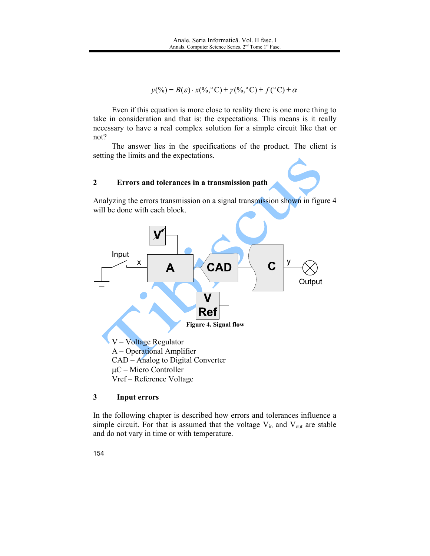$v(\%) = B(\varepsilon) \cdot x(\%^\circ \text{C}) \pm \gamma(\%^\circ \text{C}) \pm f(\degree \text{C}) \pm \alpha$ 

Even if this equation is more close to reality there is one more thing to take in consideration and that is: the expectations. This means is it really necessary to have a real complex solution for a simple circuit like that or  $not?$ 

The answer lies in the specifications of the product. The client is setting the limits and the expectations.

#### $\overline{2}$ Errors and tolerances in a transmission path

Analyzing the errors transmission on a signal transmission shown in figure 4 will be done with each block.



#### $\mathbf{3}$ **Input errors**

In the following chapter is described how errors and tolerances influence a simple circuit. For that is assumed that the voltage  $V_{in}$  and  $V_{out}$  are stable and do not vary in time or with temperature.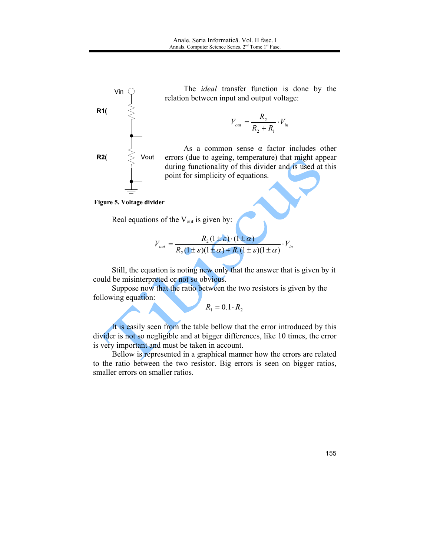

The *ideal* transfer function is done by the relation between input and output voltage:

$$
V_{out} = \frac{R_2}{R_2 + R_1} \cdot V_{in}
$$

As a common sense  $\alpha$  factor includes other errors (due to ageing, temperature) that might appear during functionality of this divider and is used at this point for simplicity of equations.

Figure 5. Voltage divider

Real equations of the V<sub>out</sub> is given by:

$$
V_{out} = \frac{R_2(1\pm\varepsilon)\cdot(1\pm\alpha)}{R_2(1\pm\varepsilon)(1\pm\alpha)+R_1(1\pm\varepsilon)(1\pm\alpha)}\cdot V_{in}
$$

Still, the equation is noting new only that the answer that is given by it could be misinterpreted or not so obvious.

Suppose now that the ratio between the two resistors is given by the following equation:

 $R_1 = 0.1 \cdot R_2$ 

It is easily seen from the table bellow that the error introduced by this divider is not so negligible and at bigger differences, like 10 times, the error is very important and must be taken in account.

Bellow is represented in a graphical manner how the errors are related to the ratio between the two resistor. Big errors is seen on bigger ratios, smaller errors on smaller ratios.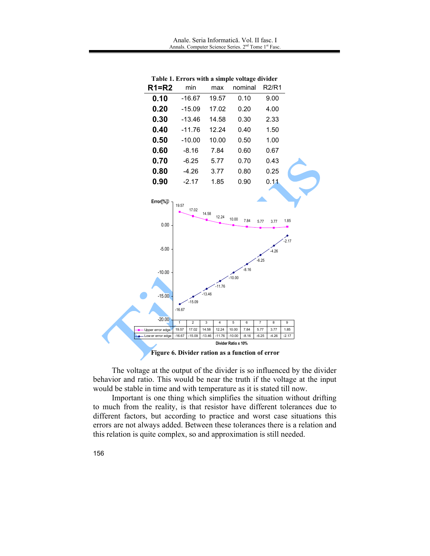![](_page_4_Figure_1.jpeg)

Table 1. Errors with a simple voltage divider

The voltage at the output of the divider is so influenced by the divider behavior and ratio. This would be near the truth if the voltage at the input would be stable in time and with temperature as it is stated till now.

Important is one thing which simplifies the situation without drifting to much from the reality, is that resistor have different tolerances due to different factors, but according to practice and worst case situations this errors are not always added. Between these tolerances there is a relation and this relation is quite complex, so and approximation is still needed.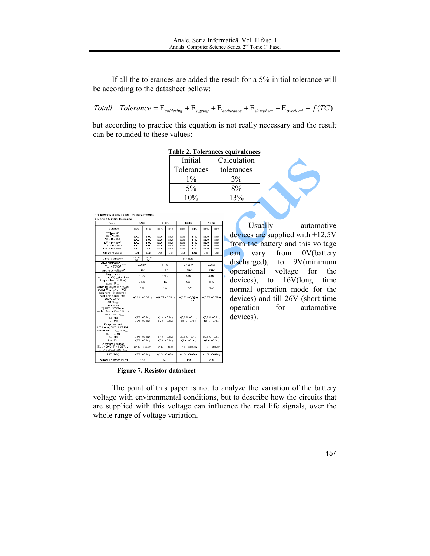If all the tolerances are added the result for a 5% initial tolerance will be according to the datasheet bellow:

$$
Totall\_Tolerance = E_{\text{soldering}} + E_{\text{ageing}} + E_{\text{endurance}} + E_{\text{damped}} + E_{\text{overload}} + f(TC)
$$

but according to practice this equation is not really necessary and the result can be rounded to these values:

| <b>Table 2. Tolerances equivalences</b> |             |  |  |  |  |  |
|-----------------------------------------|-------------|--|--|--|--|--|
| Initial                                 | Calculation |  |  |  |  |  |
| Tolerances                              | tolerances  |  |  |  |  |  |
| $1\%$                                   | $3\%$       |  |  |  |  |  |
| $5\%$                                   | $8\%$       |  |  |  |  |  |
| 10%                                     | 13%         |  |  |  |  |  |

1.1 Electrical and reliability parameters:

| 5% and 1% initial tolerance                                                                                                                                                          |                                                   |                                               |                                                        |                                          |                                              |                                        |                                              |                                                 |
|--------------------------------------------------------------------------------------------------------------------------------------------------------------------------------------|---------------------------------------------------|-----------------------------------------------|--------------------------------------------------------|------------------------------------------|----------------------------------------------|----------------------------------------|----------------------------------------------|-------------------------------------------------|
| Case                                                                                                                                                                                 | 0402                                              |                                               | 0603                                                   |                                          | 0805                                         |                                        | 1206                                         |                                                 |
| Tolerance                                                                                                                                                                            | <b>±5%</b>                                        | ±1%                                           | <b>±5%</b>                                             | ±1%                                      | ±5%                                          | ±1%                                    | <b>±5%</b>                                   | ±1%                                             |
| TC [ppm/K]<br>$1\Omega$ $\leq$ R $\leq$ 5 $\Omega$<br>$50 \leq R \leq 100$<br>$10\Omega$ $\leq$ R $<$ 10002<br>$1000 \leq R \leq 1M0$<br>$1\text{M}\Omega \leq R < 10\text{M}\Omega$ | +200<br>$+200$<br>+200<br>$+200$<br>+200          | ±100<br>$+100$<br>±100<br>$+100$<br><b>NA</b> | <b>+200</b><br>$+200$<br><b>+200</b><br>$+200$<br>±200 | ±100<br>$+100$<br>±100<br>$+100$<br>±100 | ±200<br>+200<br>+200<br>$+200$<br>+200       | ±100<br>±100<br>±100<br>$+100$<br>±100 | ±200<br>$+200$<br>±200<br>$+200$<br>±200     | ±100<br>±100<br>±100<br>$+100$<br>±100          |
| Standard values                                                                                                                                                                      | E24                                               | E96                                           | E24                                                    | E96                                      | E <sub>24</sub>                              | E96                                    | E <sub>24</sub>                              | E96                                             |
| Climatic category                                                                                                                                                                    | 55/125<br>/56                                     | 55/125<br>/56                                 | 55/155/56                                              |                                          |                                              |                                        |                                              |                                                 |
| Rated dissipation P <sub>rox</sub><br>$(T_{\text{amb}} = 70^{\circ} \text{C})$ <sup>1</sup>                                                                                          | 0.063W                                            |                                               | 0.1W                                                   |                                          | 0.125W                                       |                                        | 0.25W                                        |                                                 |
| Max. rated voltage 2                                                                                                                                                                 | 50V                                               |                                               | 50V                                                    |                                          | 150V                                         |                                        | 200V                                         |                                                 |
| Single pulse<br>over voltage $V_{\text{max}}(t \leq 1 \mu s)$                                                                                                                        | 100V                                              |                                               | 150V                                                   |                                          | 300V                                         |                                        | 400V                                         |                                                 |
| Single pulse $(t < 10 \mu s)$<br>power $P_{max}$                                                                                                                                     | 3 5W                                              |                                               | 4W                                                     |                                          | 6W                                           |                                        | 10W                                          |                                                 |
| Continuous pulse (t. < 10us)<br>power $P'_{max}$ (t <sub>o</sub> / t <sub>i</sub> = 1000)                                                                                            | 1W                                                |                                               |                                                        | 1W                                       |                                              | 1.3W                                   | 2W                                           |                                                 |
| Resistance to soldering<br>heat (unmounted, 10s.<br>260°C ± 5°C)<br>$\Delta$ R / R <sub>max</sub>                                                                                    | $\pm(0.5\% + 0.05\Omega)$                         |                                               | $\pm(0.5\% + 0.05\Omega)$                              |                                          | $\pm (0.5\% + 0.0662)$                       |                                        | $\pm(0.5\% + 0.05\Omega)$                    |                                                 |
| Endurance<br>(@ 70°C, 1000hours,<br>loaded P <sub>max</sub> or V <sub>max</sub> , 1.5h on<br>/ 0.5h off) AR / Ress:<br>$R \le 1M\Omega$<br>$R > 1$ MO                                | $\pm(1\% + 0.1\Omega)$<br>$\pm (2\% + 0.1\Omega)$ |                                               | $±1\% +0.100$<br>$±2\% +0.100$                         |                                          | $+0.5\% +0.10$<br>$±1\% +0.1Ω$               |                                        | $\pm(0.5\% + 0.1\Omega)$<br>$\pm$ (1% +0.1Ω) |                                                 |
| Damp heat test<br>1000hours, 85°C; 85% RH;<br>loaded with 0.1Pmy or Vmy.<br>$\Delta R$ / $R_{\text{rms}}$ for<br>$R \le 1M\Omega$<br>$R > 1M\Omega$                                  | $\pm(1\% + 0.1\Omega)$<br>$\pm (2\% +0.1\Omega)$  |                                               | $±1\% +0.10$<br>$\pm 2\% + 0.1$ Ω)                     |                                          | $\pm 0.5\% + 0.10$<br>$\pm(1\% + 0.1\Omega)$ |                                        |                                              | $\pm 0.5\% + 0.1 \Omega$<br>$±(1\% +0.1\Omega)$ |
| Short time overload<br>$(T_{\text{cent}} = 20^{\circ} \text{C}, P = 6.25 P_{\text{max}})$<br>5s, $V \leq 2V_{max}$ ) $\Delta R / R_{max}$                                            | $\pm(1\% + 0.05\Omega)$                           |                                               | $±(1\% +0.05\Omega)$                                   |                                          | $\pm(1\% + 0.05\Omega)$                      |                                        | $\pm$ (1% +0.05 $\Omega$ )                   |                                                 |
| ESD (2kV)                                                                                                                                                                            | $\pm(2\% +0.1\Omega)$                             |                                               | $±(1\% +0.05\Omega)$                                   |                                          | $±1\% +0.05CD$                               |                                        | $\pm$ (1% +0.05 $\Omega$ )                   |                                                 |
| Thermal resistance [K/W]                                                                                                                                                             | 870                                               |                                               | 550                                                    |                                          | 440                                          |                                        | 220                                          |                                                 |

Usually automotive devices are supplied with  $+12.5V$ from the battery and this voltage  $can$ vary from 0V(battery discharged), to  $9V$ (minimum operational voltage for the devices), to 16V(long time normal operation mode for the devices) and till 26V (short time operation for automotive devices).

### **Figure 7. Resistor datasheet**

The point of this paper is not to analyze the variation of the battery voltage with environmental conditions, but to describe how the circuits that are supplied with this voltage can influence the real life signals, over the whole range of voltage variation.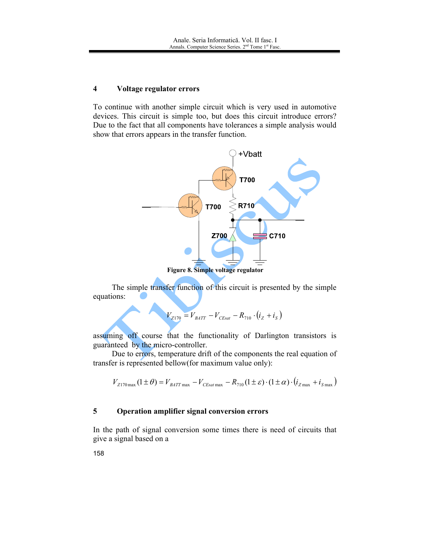#### $\overline{\mathbf{4}}$ Voltage regulator errors

To continue with another simple circuit which is very used in automotive devices. This circuit is simple too, but does this circuit introduce errors? Due to the fact that all components have tolerances a simple analysis would show that errors appears in the transfer function.

![](_page_6_Figure_3.jpeg)

Figure 8. Simple voltage regulator

The simple transfer function of this circuit is presented by the simple equations:

$$
V_{Z170} = V_{BATT} - V_{CEsat} - R_{710} \cdot (i_Z + i_S)
$$

assuming off course that the functionality of Darlington transistors is guaranteed by the micro-controller.

Due to errors, temperature drift of the components the real equation of transfer is represented bellow(for maximum value only):

$$
V_{Z170\,\text{max}}\left(1\pm\theta\right) = V_{BAT\,\text{max}} - V_{CEsat\,\text{max}} - R_{710}\left(1\pm\varepsilon\right) \cdot \left(1\pm\alpha\right) \cdot \left(i_{Z\,\text{max}} + i_{S\,\text{max}}\right)
$$

#### 5 Operation amplifier signal conversion errors

In the path of signal conversion some times there is need of circuits that give a signal based on a

158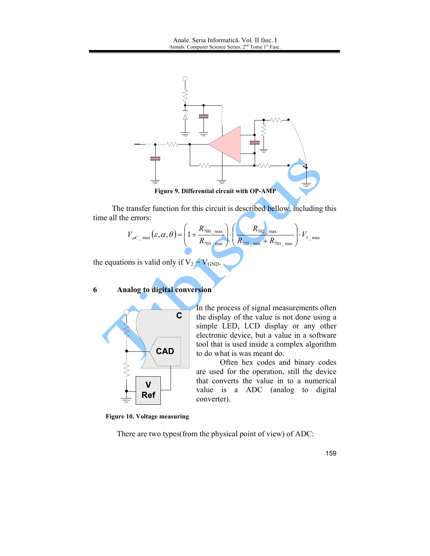![](_page_7_Figure_1.jpeg)

The transfer function for this circuit is described bellow, including this time all the errors:

$$
V_{\mu C_{\mu C_{\mu}} \max}(\varepsilon, \alpha, \theta) = \left(1 + \frac{R_{700_{\mu}}}{R_{703_{\mu}}}\right) \cdot \left(\frac{R_{702_{\mu}}}{R_{702_{\mu}} \min} + R_{701_{\mu}}\right) \cdot V_{1_{\mu}} \text{max}
$$

In the process of signal measurements often

the display of the value is not done using a simple LED, LCD display or any other electronic device, but a value in a software tool that is used inside a complex algorithm

are used for the operation, still the device that converts the value in to a numerical

value is a ADC (analog to digital

Often hex codes and binary codes

to do what is was meant do.

the equations is valid only if  $V_2 = V_{GND}$ .

#### 6 **Analog to digital conversion**

![](_page_7_Figure_6.jpeg)

**Figure 10. Voltage measuring** 

There are two types (from the physical point of view) of ADC:

converter).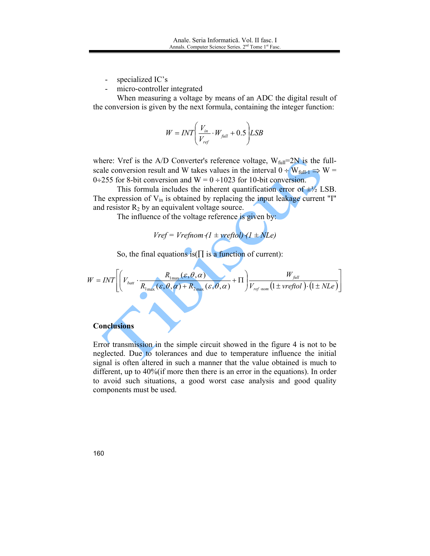- specialized IC's
- micro-controller integrated

When measuring a voltage by means of an ADC the digital result of the conversion is given by the next formula, containing the integer function:

$$
W = INT \left( \frac{V_{in}}{V_{ref}} \cdot W_{full} + 0.5 \right) LSB
$$

where: Vref is the A/D Converter's reference voltage,  $W_{\text{full}}=2N$  is the fullscale conversion result and W takes values in the interval  $0 \div W_{\text{full-1}} \Rightarrow W =$ 0÷255 for 8-bit conversion and  $W = 0 \div 1023$  for 10-bit conversion.

This formula includes the inherent quantification error of  $\pm\frac{1}{2}$  LSB. The expression of  $V_{in}$  is obtained by replacing the input leakage current "I" and resistor  $R_2$  by an equivalent voltage source.

The influence of the voltage reference is given by:

$$
Vref = Vrefnom (1 \pm vreftol) (1 \pm NLe)
$$

So, the final equations is  $(\prod$  is a function of current):

$$
W = INT \left[ \left( V_{\text{batt}} \cdot \frac{R_{\text{1max}}(\varepsilon, \theta, \alpha)}{R_{\text{1max}}(\varepsilon, \theta, \alpha) + R_{\text{2max}}(\varepsilon, \theta, \alpha)} + \Pi \right) \frac{W_{\text{full}}}{V_{\text{ref-nom}} \left(1 \pm \text{vreftol} \right) \cdot \left(1 \pm \text{NLe} \right)} \right]
$$

## **Conclusions**

Error transmission in the simple circuit showed in the figure 4 is not to be neglected. Due to tolerances and due to temperature influence the initial signal is often altered in such a manner that the value obtained is much to different, up to  $40\%$  (if more then there is an error in the equations). In order to avoid such situations, a good worst case analysis and good quality components must be used.